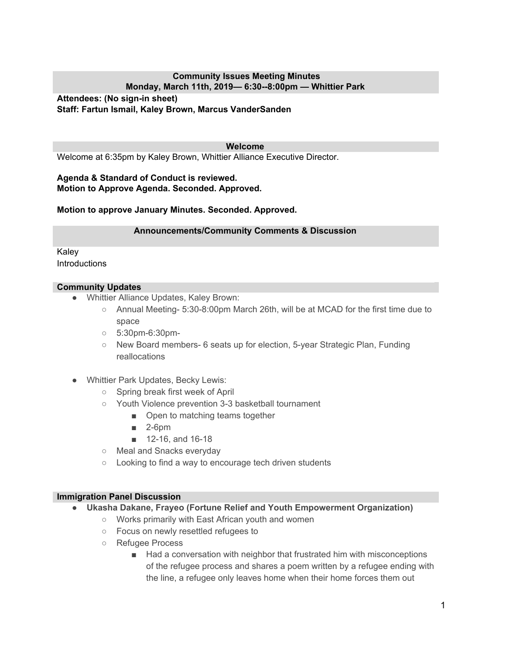## **Community Issues Meeting Minutes Monday, March 11th, 2019— 6:30--8:00pm — Whittier Park**

# **Attendees: (No sign-in sheet) Staff: Fartun Ismail, Kaley Brown, Marcus VanderSanden**

#### **Welcome**

Welcome at 6:35pm by Kaley Brown, Whittier Alliance Executive Director.

### **Agenda & Standard of Conduct is reviewed. Motion to Approve Agenda. Seconded. Approved.**

### **Motion to approve January Minutes. Seconded. Approved.**

#### **Announcements/Community Comments & Discussion**

Kaley **Introductions** 

### **Community Updates**

- Whittier Alliance Updates, Kaley Brown:
	- Annual Meeting- 5:30-8:00pm March 26th, will be at MCAD for the first time due to space
	- 5:30pm-6:30pm-
	- New Board members- 6 seats up for election, 5-year Strategic Plan, Funding reallocations
- Whittier Park Updates, Becky Lewis:
	- Spring break first week of April
	- Youth Violence prevention 3-3 basketball tournament
		- Open to matching teams together
		- 2-6pm
		- 12-16, and 16-18
	- Meal and Snacks everyday
	- Looking to find a way to encourage tech driven students

### **Immigration Panel Discussion**

- **● Ukasha Dakane, Frayeo (Fortune Relief and Youth Empowerment Organization)**
	- Works primarily with East African youth and women
	- Focus on newly resettled refugees to
	- Refugee Process
		- Had a conversation with neighbor that frustrated him with misconceptions of the refugee process and shares a poem written by a refugee ending with the line, a refugee only leaves home when their home forces them out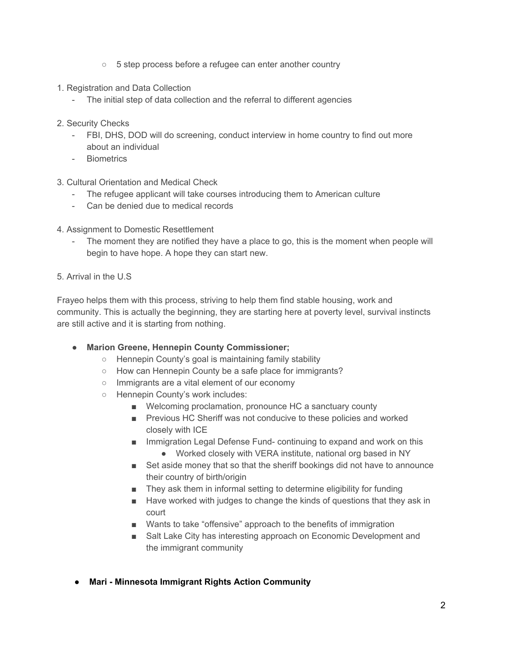- 5 step process before a refugee can enter another country
- 1. Registration and Data Collection
	- The initial step of data collection and the referral to different agencies
- 2. Security Checks
	- FBI, DHS, DOD will do screening, conduct interview in home country to find out more about an individual
	- Biometrics
- 3. Cultural Orientation and Medical Check
	- The refugee applicant will take courses introducing them to American culture
	- Can be denied due to medical records
- 4. Assignment to Domestic Resettlement
	- The moment they are notified they have a place to go, this is the moment when people will begin to have hope. A hope they can start new.
- 5. Arrival in the U.S

Frayeo helps them with this process, striving to help them find stable housing, work and community. This is actually the beginning, they are starting here at poverty level, survival instincts are still active and it is starting from nothing.

- **Marion Greene, Hennepin County Commissioner;** 
	- Hennepin County's goal is maintaining family stability
	- How can Hennepin County be a safe place for immigrants?
	- Immigrants are a vital element of our economy
	- Hennepin County's work includes:
		- Welcoming proclamation, pronounce HC a sanctuary county
		- Previous HC Sheriff was not conducive to these policies and worked closely with ICE
		- Immigration Legal Defense Fund- continuing to expand and work on this
			- Worked closely with VERA institute, national org based in NY
		- Set aside money that so that the sheriff bookings did not have to announce their country of birth/origin
		- They ask them in informal setting to determine eligibility for funding
		- Have worked with judges to change the kinds of questions that they ask in court
		- Wants to take "offensive" approach to the benefits of immigration
		- Salt Lake City has interesting approach on Economic Development and the immigrant community
- **● Mari Minnesota Immigrant Rights Action Community**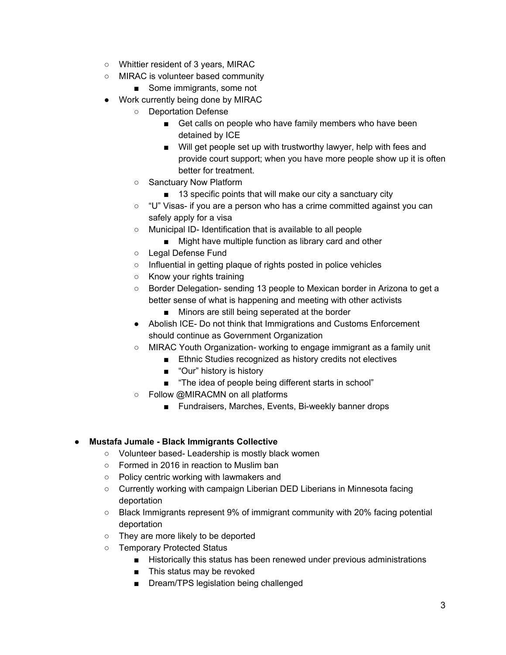- Whittier resident of 3 years, MIRAC
- MIRAC is volunteer based community
	- Some immigrants, some not
- Work currently being done by MIRAC
	- Deportation Defense
		- Get calls on people who have family members who have been detained by ICE
		- Will get people set up with trustworthy lawyer, help with fees and provide court support; when you have more people show up it is often better for treatment.
	- Sanctuary Now Platform
		- 13 specific points that will make our city a sanctuary city
	- "U" Visas- if you are a person who has a crime committed against you can safely apply for a visa
	- Municipal ID- Identification that is available to all people
		- Might have multiple function as library card and other
	- Legal Defense Fund
	- Influential in getting plaque of rights posted in police vehicles
	- Know your rights training
	- Border Delegation- sending 13 people to Mexican border in Arizona to get a better sense of what is happening and meeting with other activists
		- Minors are still being seperated at the border
	- Abolish ICE- Do not think that Immigrations and Customs Enforcement should continue as Government Organization
	- MIRAC Youth Organization- working to engage immigrant as a family unit
		- Ethnic Studies recognized as history credits not electives
		- "Our" history is history
		- "The idea of people being different starts in school"
	- Follow @MIRACMN on all platforms
		- Fundraisers, Marches, Events, Bi-weekly banner drops

# **● Mustafa Jumale - Black Immigrants Collective**

- Volunteer based- Leadership is mostly black women
- Formed in 2016 in reaction to Muslim ban
- Policy centric working with lawmakers and
- o Currently working with campaign Liberian DED Liberians in Minnesota facing deportation
- Black Immigrants represent 9% of immigrant community with 20% facing potential deportation
- They are more likely to be deported
- Temporary Protected Status
	- Historically this status has been renewed under previous administrations
	- This status may be revoked
	- Dream/TPS legislation being challenged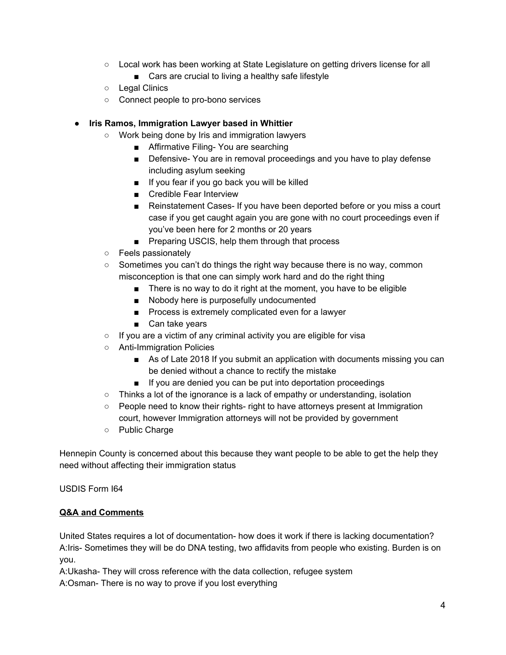- Local work has been working at State Legislature on getting drivers license for all
	- Cars are crucial to living a healthy safe lifestyle
- Legal Clinics
- Connect people to pro-bono services

### **● Iris Ramos, Immigration Lawyer based in Whittier**

- Work being done by Iris and immigration lawyers
	- Affirmative Filing- You are searching
	- Defensive- You are in removal proceedings and you have to play defense including asylum seeking
	- If you fear if you go back you will be killed
	- Credible Fear Interview
	- Reinstatement Cases- If you have been deported before or you miss a court case if you get caught again you are gone with no court proceedings even if you've been here for 2 months or 20 years
	- Preparing USCIS, help them through that process
- Feels passionately
- Sometimes you can't do things the right way because there is no way, common misconception is that one can simply work hard and do the right thing
	- There is no way to do it right at the moment, you have to be eligible
	- Nobody here is purposefully undocumented
	- Process is extremely complicated even for a lawyer
	- Can take years
- If you are a victim of any criminal activity you are eligible for visa
- Anti-Immigration Policies
	- As of Late 2018 If you submit an application with documents missing you can be denied without a chance to rectify the mistake
	- If you are denied you can be put into deportation proceedings
- $\circ$  Thinks a lot of the ignorance is a lack of empathy or understanding, isolation
- People need to know their rights- right to have attorneys present at Immigration court, however Immigration attorneys will not be provided by government
- Public Charge

Hennepin County is concerned about this because they want people to be able to get the help they need without affecting their immigration status

USDIS Form I64

#### **Q&A and Comments**

United States requires a lot of documentation- how does it work if there is lacking documentation? A:Iris- Sometimes they will be do DNA testing, two affidavits from people who existing. Burden is on you.

A:Ukasha- They will cross reference with the data collection, refugee system A:Osman- There is no way to prove if you lost everything